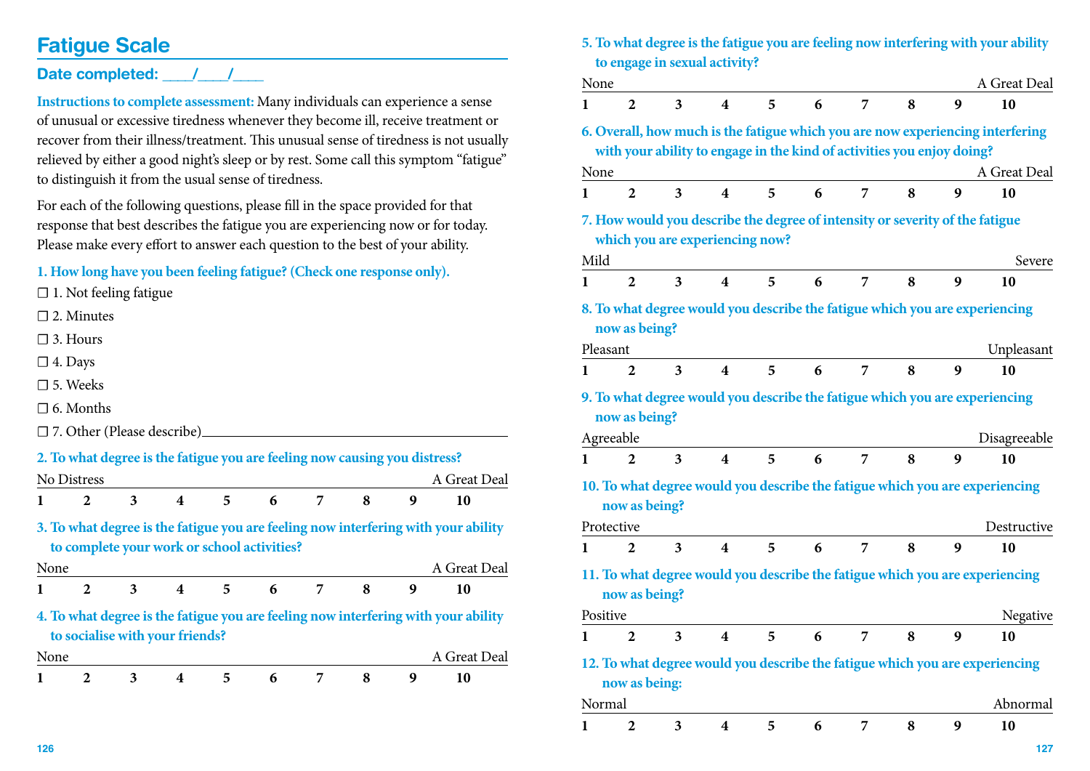## **Fatigue Scale**

### Date completed: 1

**Instructions to complete assessment:** Many individuals can experience a sense of unusual or excessive tiredness whenever they become ill, receive treatment or recover from their illness/treatment. This unusual sense of tiredness is not usually relieved by either a good night's sleep or by rest. Some call this symptom "fatigue" to distinguish it from the usual sense of tiredness.

For each of the following questions, please fill in the space provided for that response that best describes the fatigue you are experiencing now or for today. Please make every effort to answer each question to the best of your ability.

#### **1. How long have you been feeling fatigue? (Check one response only).**

□ 1. Not feeling fatigue

 $\Box$  2. Minutes

 $\square$  3. Hours

 $\square$  4. Days

□ 5. Weeks

 $\Box$  6. Months

☐ 7. Other (Please describe)

|      |              |   |                                 |    | 2. To what degree is the fatigue you are feeling now causing you distress? |   |   |   |                                                                                    |  |
|------|--------------|---|---------------------------------|----|----------------------------------------------------------------------------|---|---|---|------------------------------------------------------------------------------------|--|
|      | No Distress  |   |                                 |    |                                                                            |   |   |   | A Great Deal                                                                       |  |
|      | 2            | 3 | 4                               | 5. | 6                                                                          | 7 | 8 | 9 | 10                                                                                 |  |
|      |              |   |                                 |    | to complete your work or school activities?                                |   |   |   | 3. To what degree is the fatigue you are feeling now interfering with your ability |  |
| None |              |   |                                 |    |                                                                            |   |   |   | A Great Deal                                                                       |  |
|      | $\mathbf{2}$ | 3 | $\overline{\mathbf{4}}$         | 5. | 6                                                                          | 7 | 8 | 9 | 10                                                                                 |  |
|      |              |   | to socialise with your friends? |    |                                                                            |   |   |   | 4. To what degree is the fatigue you are feeling now interfering with your ability |  |
| None |              |   |                                 |    |                                                                            |   |   |   | A Great Deal                                                                       |  |
|      | 2            | 3 | 4                               | 5  | 6                                                                          | 7 | 8 | 9 | 10                                                                                 |  |

|      |                                                                                                                 |                         |                         |   |   |   |   |   | 5. To what degree is the fatigue you are feeling now interfering with your ability             |
|------|-----------------------------------------------------------------------------------------------------------------|-------------------------|-------------------------|---|---|---|---|---|------------------------------------------------------------------------------------------------|
|      | to engage in sexual activity?                                                                                   |                         |                         |   |   |   |   |   |                                                                                                |
| None |                                                                                                                 |                         |                         |   |   |   |   |   | A Great Deal                                                                                   |
| 1    | $\overline{2}$                                                                                                  | 3                       | $\overline{\mathbf{4}}$ | 5 | 6 | 7 | 8 | 9 | 10                                                                                             |
| None | with your ability to engage in the kind of activities you enjoy doing?                                          |                         |                         |   |   |   |   |   | 6. Overall, how much is the fatigue which you are now experiencing interfering<br>A Great Deal |
|      | $\overline{2}$                                                                                                  | $\overline{\mathbf{3}}$ | $\overline{\mathbf{4}}$ | 5 | 6 | 7 | 8 | 9 | 10                                                                                             |
| 1    |                                                                                                                 |                         |                         |   |   |   |   |   |                                                                                                |
|      | 7. How would you describe the degree of intensity or severity of the fatigue<br>which you are experiencing now? |                         |                         |   |   |   |   |   |                                                                                                |
| Mild |                                                                                                                 |                         |                         |   |   |   |   |   | Severe                                                                                         |
| 1    | $\overline{2}$                                                                                                  | 3                       | 4                       | 5 | 6 | 7 | 8 | 9 | 10                                                                                             |
|      | now as being?                                                                                                   |                         |                         |   |   |   |   |   | 8. To what degree would you describe the fatigue which you are experiencing                    |
|      | Pleasant                                                                                                        |                         |                         |   |   |   |   |   | Unpleasant                                                                                     |
| 1    | $\overline{2}$                                                                                                  | 3                       | $\overline{\mathbf{4}}$ | 5 | 6 | 7 | 8 | 9 | 10                                                                                             |
|      | now as being?                                                                                                   |                         |                         |   |   |   |   |   | 9. To what degree would you describe the fatigue which you are experiencing                    |
|      | Agreeable                                                                                                       |                         |                         |   |   |   |   |   | Disagreeable                                                                                   |
| 1    | $\overline{2}$                                                                                                  | 3                       | $\overline{\mathbf{4}}$ | 5 | 6 | 7 | 8 | 9 | 10                                                                                             |
|      | now as being?                                                                                                   |                         |                         |   |   |   |   |   | 10. To what degree would you describe the fatigue which you are experiencing                   |
|      | Protective                                                                                                      |                         |                         |   |   |   |   |   | Destructive                                                                                    |
| 1    | $\overline{2}$                                                                                                  | 3                       | $\overline{\mathbf{4}}$ | 5 | 6 | 7 | 8 | 9 | 10                                                                                             |
|      | now as being?                                                                                                   |                         |                         |   |   |   |   |   | 11. To what degree would you describe the fatigue which you are experiencing                   |
|      | Positive                                                                                                        |                         |                         |   |   |   |   |   | <b>Negative</b>                                                                                |
| 1    | $\boldsymbol{2}$                                                                                                | 3                       | $\overline{\mathbf{4}}$ | 5 | 6 | 7 | 8 | 9 | 10                                                                                             |
|      | now as being:                                                                                                   |                         |                         |   |   |   |   |   | 12. To what degree would you describe the fatigue which you are experiencing                   |
|      | Normal                                                                                                          |                         |                         |   |   |   |   |   | Abnormal                                                                                       |
| 1    | 2                                                                                                               | 3                       | 4                       | 5 | 6 | 7 | 8 | 9 | 10                                                                                             |